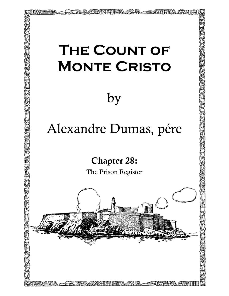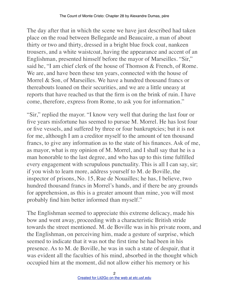The day after that in which the scene we have just described had taken place on the road between Bellegarde and Beaucaire, a man of about thirty or two and thirty, dressed in a bright blue frock coat, nankeen trousers, and a white waistcoat, having the appearance and accent of an Englishman, presented himself before the mayor of Marseilles. "Sir," said he, "I am chief clerk of the house of Thomson & French, of Rome. We are, and have been these ten years, connected with the house of Morrel & Son, of Marseilles. We have a hundred thousand francs or thereabouts loaned on their securities, and we are a little uneasy at reports that have reached us that the firm is on the brink of ruin. I have come, therefore, express from Rome, to ask you for information."

"Sir," replied the mayor. "I know very well that during the last four or five years misfortune has seemed to pursue M. Morrel. He has lost four or five vessels, and suffered by three or four bankruptcies; but it is not for me, although I am a creditor myself to the amount of ten thousand francs, to give any information as to the state of his finances. Ask of me, as mayor, what is my opinion of M. Morrel, and I shall say that he is a man honorable to the last degree, and who has up to this time fulfilled every engagement with scrupulous punctuality. This is all I can say, sir; if you wish to learn more, address yourself to M. de Boville, the inspector of prisons, No. 15, Rue de Nouailles; he has, I believe, two hundred thousand francs in Morrel's hands, and if there be any grounds for apprehension, as this is a greater amount than mine, you will most probably find him better informed than myself."

The Englishman seemed to appreciate this extreme delicacy, made his bow and went away, proceeding with a characteristic British stride towards the street mentioned. M. de Boville was in his private room, and the Englishman, on perceiving him, made a gesture of surprise, which seemed to indicate that it was not the first time he had been in his presence. As to M. de Boville, he was in such a state of despair, that it was evident all the faculties of his mind, absorbed in the thought which occupied him at the moment, did not allow either his memory or his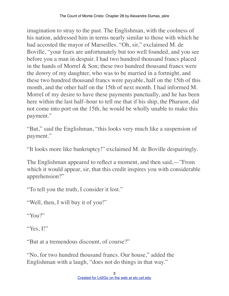imagination to stray to the past. The Englishman, with the coolness of his nation, addressed him in terms nearly similar to those with which he had accosted the mayor of Marseilles. "Oh, sir," exclaimed M. de Boville, "your fears are unfortunately but too well founded, and you see before you a man in despair. I had two hundred thousand francs placed in the hands of Morrel  $&$  Son; these two hundred thousand francs were the dowry of my daughter, who was to be married in a fortnight, and these two hundred thousand francs were payable, half on the 15th of this month, and the other half on the 15th of next month. I had informed M. Morrel of my desire to have these payments punctually, and he has been here within the last half–hour to tell me that if his ship, the Pharaon, did not come into port on the 15th, he would be wholly unable to make this payment."

"But," said the Englishman, "this looks very much like a suspension of payment."

"It looks more like bankruptcy!" exclaimed M. de Boville despairingly.

The Englishman appeared to reflect a moment, and then said,—"From which it would appear, sir, that this credit inspires you with considerable apprehension?"

"To tell you the truth, I consider it lost."

"Well, then, I will buy it of you!"

"You?"

"Yes, I!"

"But at a tremendous discount, of course?"

"No, for two hundred thousand francs. Our house," added the Englishman with a laugh, "does not do things in that way."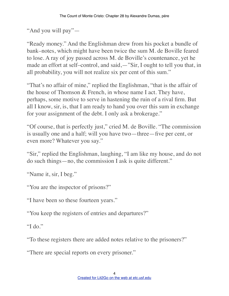"And you will pay"—

"Ready money." And the Englishman drew from his pocket a bundle of bank–notes, which might have been twice the sum M. de Boville feared to lose. A ray of joy passed across M. de Boville's countenance, yet he made an effort at self–control, and said,—"Sir, I ought to tell you that, in all probability, you will not realize six per cent of this sum."

"That's no affair of mine," replied the Englishman, "that is the affair of the house of Thomson & French, in whose name I act. They have, perhaps, some motive to serve in hastening the ruin of a rival firm. But all I know, sir, is, that I am ready to hand you over this sum in exchange for your assignment of the debt. I only ask a brokerage."

"Of course, that is perfectly just," cried M. de Boville. "The commission is usually one and a half; will you have two—three—five per cent, or even more? Whatever you say."

"Sir," replied the Englishman, laughing, "I am like my house, and do not do such things—no, the commission I ask is quite different."

"Name it, sir, I beg."

"You are the inspector of prisons?"

"I have been so these fourteen years."

"You keep the registers of entries and departures?"

"I do."

"To these registers there are added notes relative to the prisoners?"

"There are special reports on every prisoner."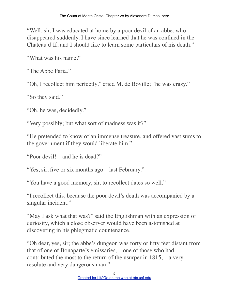"Well, sir, I was educated at home by a poor devil of an abbe, who disappeared suddenly. I have since learned that he was confined in the Chateau d'If, and I should like to learn some particulars of his death."

"What was his name?"

"The Abbe Faria."

"Oh, I recollect him perfectly," cried M. de Boville; "he was crazy."

"So they said."

"Oh, he was, decidedly."

"Very possibly; but what sort of madness was it?"

"He pretended to know of an immense treasure, and offered vast sums to the government if they would liberate him."

"Poor devil!—and he is dead?"

"Yes, sir, five or six months ago—last February."

"You have a good memory, sir, to recollect dates so well."

"I recollect this, because the poor devil's death was accompanied by a singular incident."

"May I ask what that was?" said the Englishman with an expression of curiosity, which a close observer would have been astonished at discovering in his phlegmatic countenance.

"Oh dear, yes, sir; the abbe's dungeon was forty or fifty feet distant from that of one of Bonaparte's emissaries,—one of those who had contributed the most to the return of the usurper in 1815,—a very resolute and very dangerous man."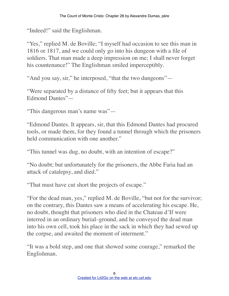"Indeed!" said the Englishman.

"Yes," replied M. de Boville; "I myself had occasion to see this man in 1816 or 1817, and we could only go into his dungeon with a file of soldiers. That man made a deep impression on me; I shall never forget his countenance!" The Englishman smiled imperceptibly.

"And you say, sir," he interposed, "that the two dungeons"—

"Were separated by a distance of fifty feet; but it appears that this Edmond Dantes"—

"This dangerous man's name was"—

"Edmond Dantes. It appears, sir, that this Edmond Dantes had procured tools, or made them, for they found a tunnel through which the prisoners held communication with one another."

"This tunnel was dug, no doubt, with an intention of escape?"

"No doubt; but unfortunately for the prisoners, the Abbe Faria had an attack of catalepsy, and died."

"That must have cut short the projects of escape."

"For the dead man, yes," replied M. de Boville, "but not for the survivor; on the contrary, this Dantes saw a means of accelerating his escape. He, no doubt, thought that prisoners who died in the Chateau d'If were interred in an ordinary burial–ground, and he conveyed the dead man into his own cell, took his place in the sack in which they had sewed up the corpse, and awaited the moment of interment."

"It was a bold step, and one that showed some courage," remarked the Englishman.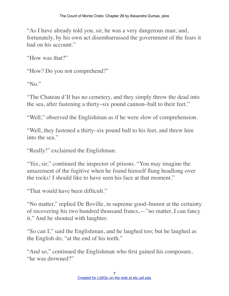"As I have already told you, sir, he was a very dangerous man; and, fortunately, by his own act disembarrassed the government of the fears it had on his account."

"How was that?"

"How? Do you not comprehend?"

"No."

"The Chateau d'If has no cemetery, and they simply throw the dead into the sea, after fastening a thirty–six pound cannon–ball to their feet."

"Well," observed the Englishman as if he were slow of comprehension.

"Well, they fastened a thirty–six pound ball to his feet, and threw him into the sea."

"Really!" exclaimed the Englishman.

"Yes, sir," continued the inspector of prisons. "You may imagine the amazement of the fugitive when he found himself flung headlong over the rocks! I should like to have seen his face at that moment."

"That would have been difficult."

"No matter," replied De Boville, in supreme good–humor at the certainty of recovering his two hundred thousand francs,—"no matter, I can fancy it." And he shouted with laughter.

"So can I," said the Englishman, and he laughed too; but he laughed as the English do, "at the end of his teeth."

"And so," continued the Englishman who first gained his composure, "he was drowned?"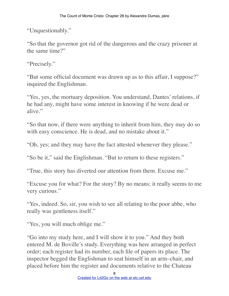"Unquestionably."

"So that the governor got rid of the dangerous and the crazy prisoner at the same time?"

"Precisely."

"But some official document was drawn up as to this affair, I suppose?" inquired the Englishman.

"Yes, yes, the mortuary deposition. You understand, Dantes' relations, if he had any, might have some interest in knowing if he were dead or alive."

"So that now, if there were anything to inherit from him, they may do so with easy conscience. He is dead, and no mistake about it."

"Oh, yes; and they may have the fact attested whenever they please."

"So be it," said the Englishman. "But to return to these registers."

"True, this story has diverted our attention from them. Excuse me."

"Excuse you for what? For the story? By no means; it really seems to me very curious."

"Yes, indeed. So, sir, you wish to see all relating to the poor abbe, who really was gentleness itself."

"Yes, you will much oblige me."

"Go into my study here, and I will show it to you." And they both entered M. de Boville's study. Everything was here arranged in perfect order; each register had its number, each file of papers its place. The inspector begged the Englishman to seat himself in an arm–chair, and placed before him the register and documents relative to the Chateau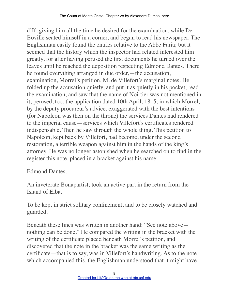d'If, giving him all the time he desired for the examination, while De Boville seated himself in a corner, and began to read his newspaper. The Englishman easily found the entries relative to the Abbe Faria; but it seemed that the history which the inspector had related interested him greatly, for after having perused the first documents he turned over the leaves until he reached the deposition respecting Edmond Dantes. There he found everything arranged in due order,—the accusation, examination, Morrel's petition, M. de Villefort's marginal notes. He folded up the accusation quietly, and put it as quietly in his pocket; read the examination, and saw that the name of Noirtier was not mentioned in it; perused, too, the application dated 10th April, 1815, in which Morrel, by the deputy procureur's advice, exaggerated with the best intentions (for Napoleon was then on the throne) the services Dantes had rendered to the imperial cause—services which Villefort's certificates rendered indispensable. Then he saw through the whole thing. This petition to Napoleon, kept back by Villefort, had become, under the second restoration, a terrible weapon against him in the hands of the king's attorney. He was no longer astonished when he searched on to find in the register this note, placed in a bracket against his name:—

## Edmond Dantes.

An inveterate Bonapartist; took an active part in the return from the Island of Elba.

To be kept in strict solitary confinement, and to be closely watched and guarded.

Beneath these lines was written in another hand: "See note above nothing can be done." He compared the writing in the bracket with the writing of the certificate placed beneath Morrel's petition, and discovered that the note in the bracket was the same writing as the certificate—that is to say, was in Villefort's handwriting. As to the note which accompanied this, the Englishman understood that it might have